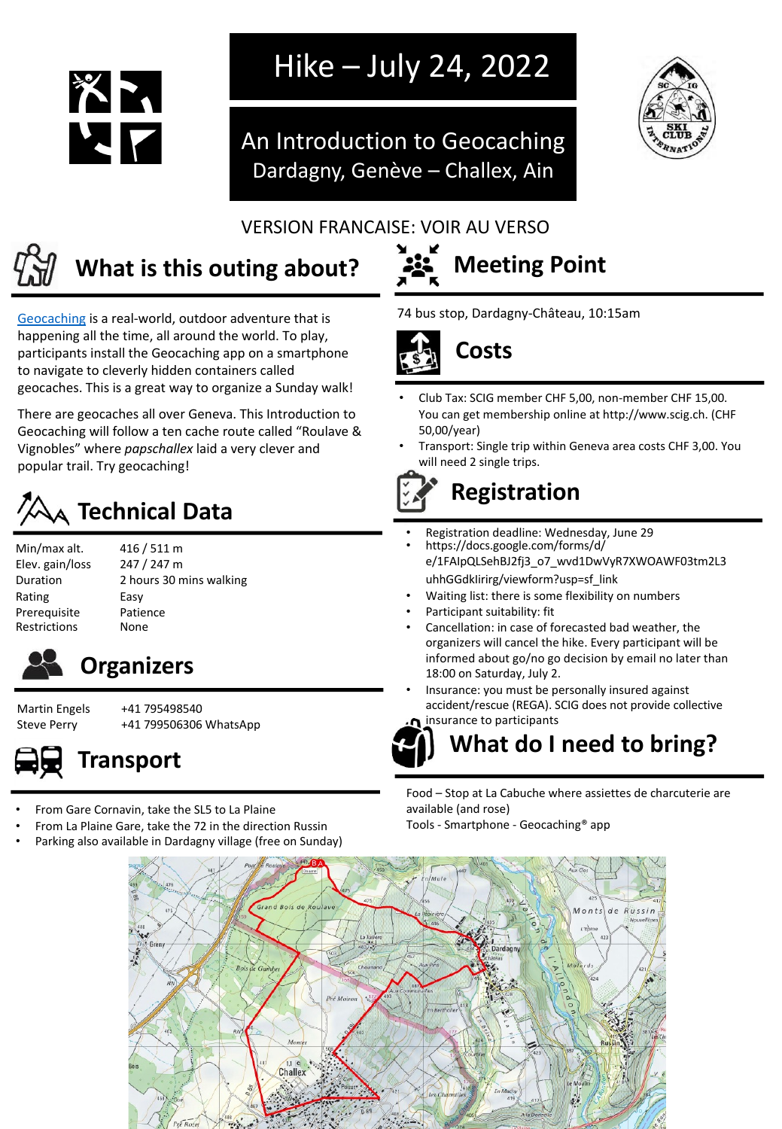

## Hike – July 24, 2022

An Introduction to Geocaching Dardagny, Genève – Challex, Ain



#### VERSION FRANCAISE: VOIR AU VERSO



## **What is this outing about? 32.** Meeting Point

[Geocaching](https://youtu.be/vuFiLhhCNww) is a real-world, outdoor adventure that is happening all the time, all around the world. To play, participants install the Geocaching app on a smartphone to navigate to cleverly hidden containers called geocaches. This is a great way to organize a Sunday walk!

There are geocaches all over Geneva. This Introduction to Geocaching will follow a ten cache route called "Roulave & Vignobles" where *papschallex* laid a very clever and popular trail. Try geocaching!

## **Technical Data**

- Min/max alt. 416 / 511 m Elev. gain/loss 247 / 247 m Rating Easy Prerequisite Patience Restrictions None
- Duration 2 hours 30 mins walking



### **Organizers**

Martin Engels +41 795498540 Steve Perry +41 799506306 WhatsApp



- From Gare Cornavin, take the SL5 to La Plaine
- From La Plaine Gare, take the 72 in the direction Russin
- Parking also available in Dardagny village (free on Sunday)



74 bus stop, Dardagny-Château, 10:15am



- Club Tax: SCIG member CHF 5,00, non-member CHF 15,00. You can get membership online at http://www.scig.ch. (CHF 50,00/year)
- Transport: Single trip within Geneva area costs CHF 3,00. You will need 2 single trips.



- Registration deadline: Wednesday, June 29
- https://docs.google.com/forms/d/ e/1FAIpQLSehBJ2fj3\_o7\_wvd1DwVyR7XWOAWF03tm2L3 uhhGGdkIirirg/viewform?usp=sf\_link
- Waiting list: there is some flexibility on numbers
- Participant suitability: fit
- Cancellation: in case of forecasted bad weather, the organizers will cancel the hike. Every participant will be informed about go/no go decision by email no later than 18:00 on Saturday, July 2.
- Insurance: you must be personally insured against accident/rescue (REGA). SCIG does not provide collective insurance to participants

**What do I need to bring?**

Food – Stop at La Cabuche where assiettes de charcuterie are available (and rose)

Tools - Smartphone - Geocaching® app